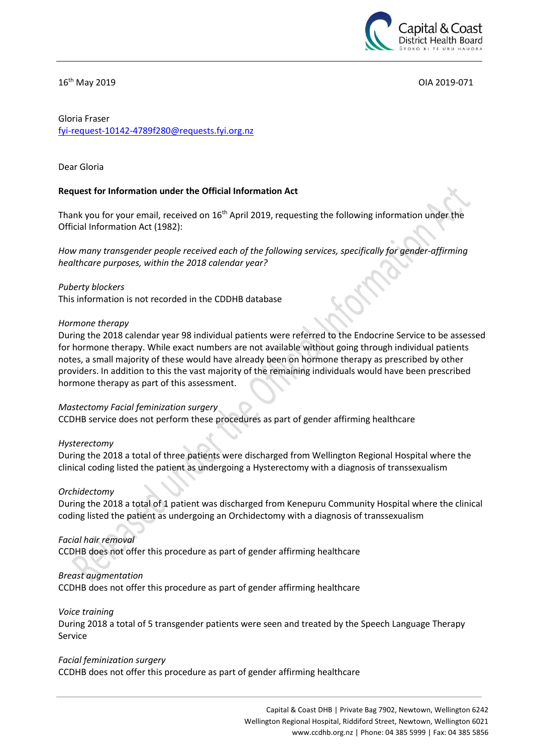

16th May 2019 OIA 2019-071

# Gloria Fraser [fyi-request-10142-4789f280@requests.fyi.org.nz](mailto:xxxxxxxxxxxxxxxxxxxxxxxxxx@xxxxxxxx.xxx.xxx.xx)

## Dear Gloria

## **Request for Information under the Official Information Act**

Thank you for your email, received on 16<sup>th</sup> April 2019, requesting the following information under the Official Information Act (1982):

*How many transgender people received each of the following services, specifically for gender-affirming healthcare purposes, within the 2018 calendar year?*

*Puberty blockers*  This information is not recorded in the CDDHB database

#### *Hormone therapy*

During the 2018 calendar year 98 individual patients were referred to the Endocrine Service to be assessed for hormone therapy. While exact numbers are not available without going through individual patients notes, a small majority of these would have already been on hormone therapy as prescribed by other providers. In addition to this the vast majority of the remaining individuals would have been prescribed hormone therapy as part of this assessment.

## *Mastectomy Facial feminization surgery*

CCDHB service does not perform these procedures as part of gender affirming healthcare

## *Hysterectomy*

During the 2018 a total of three patients were discharged from Wellington Regional Hospital where the clinical coding listed the patient as undergoing a Hysterectomy with a diagnosis of transsexualism

## *Orchidectomy*

During the 2018 a total of 1 patient was discharged from Kenepuru Community Hospital where the clinical coding listed the patient as undergoing an Orchidectomy with a diagnosis of transsexualism

## *Facial hair removal*

CCDHB does not offer this procedure as part of gender affirming healthcare

## *Breast augmentation*

CCDHB does not offer this procedure as part of gender affirming healthcare

#### *Voice training*

During 2018 a total of 5 transgender patients were seen and treated by the Speech Language Therapy Service

#### *Facial feminization surgery*

CCDHB does not offer this procedure as part of gender affirming healthcare